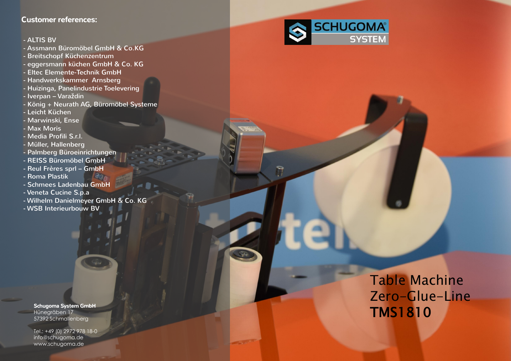# Table Machine Zero-Glue-Line TMS1810

### Customer references:

#### - ALTIS BV

- Assmann Büromöbel GmbH & Co.KG
- Breitschopf Küchenzentrum
- eggersmann küchen GmbH & Co. KG
- Eltec Elemente-Technik GmbH
- Handwerkskammer Arnsberg
- Huizinga, Panelindustrie Toelevering
- Iverpan Varaždin
- König + Neurath AG, Büromöbel Systeme
- Leicht Küchen
- Marwinski, Ense
- Max Moris
- Media Profili S.r.l.
- Müller, Hallenberg
- Palmberg Büroeinrichtungen
- REISS Büromöbel GmbH
- Reul Frères sprl GmbH
- Roma Plastik
- Schmees Ladenbau GmbH
- Veneta Cucine S.p.a
- Wilhelm Danielmeyer GmbH & Co. KG
- WSB Interieurbouw BV

#### Schugoma System GmbH Hünegräben 17 57392 Schmallenberg

Tel.: +49 (0) 2972 978 18 - 0 info@schugoma.de www.schugoma.de